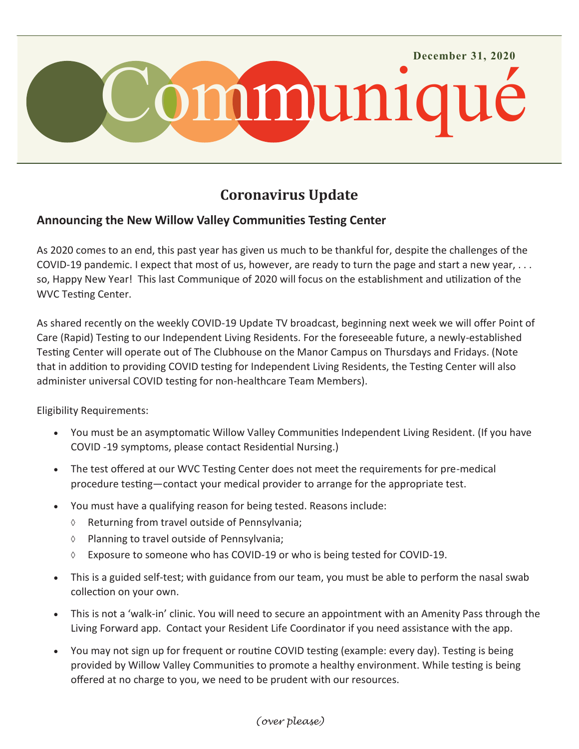

## **Coronavirus Update**

## **Announcing the New Willow Valley Communities Testing Center**

As 2020 comes to an end, this past year has given us much to be thankful for, despite the challenges of the COVID-19 pandemic. I expect that most of us, however, are ready to turn the page and start a new year, . . . so, Happy New Year! This last Communique of 2020 will focus on the establishment and utilization of the WVC Testing Center.

As shared recently on the weekly COVID-19 Update TV broadcast, beginning next week we will offer Point of Care (Rapid) Testing to our Independent Living Residents. For the foreseeable future, a newly-established Testing Center will operate out of The Clubhouse on the Manor Campus on Thursdays and Fridays. (Note that in addition to providing COVID testing for Independent Living Residents, the Testing Center will also administer universal COVID testing for non-healthcare Team Members).

Eligibility Requirements:

- You must be an asymptomatic Willow Valley Communities Independent Living Resident. (If you have COVID -19 symptoms, please contact Residential Nursing.)
- The test offered at our WVC Testing Center does not meet the requirements for pre-medical procedure testing—contact your medical provider to arrange for the appropriate test.
- You must have a qualifying reason for being tested. Reasons include:
	- Returning from travel outside of Pennsylvania;
	- $\Diamond$  Planning to travel outside of Pennsylvania;
	- $\Diamond$  Exposure to someone who has COVID-19 or who is being tested for COVID-19.
- This is a guided self-test; with guidance from our team, you must be able to perform the nasal swab collection on your own.
- This is not a 'walk-in' clinic. You will need to secure an appointment with an Amenity Pass through the Living Forward app. Contact your Resident Life Coordinator if you need assistance with the app.
- You may not sign up for frequent or routine COVID testing (example: every day). Testing is being provided by Willow Valley Communities to promote a healthy environment. While testing is being offered at no charge to you, we need to be prudent with our resources.

## *(over please)*